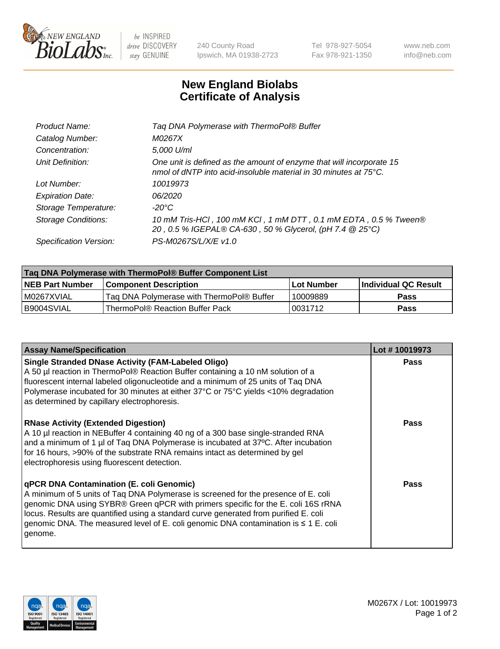

 $be$  INSPIRED drive DISCOVERY stay GENUINE

240 County Road Ipswich, MA 01938-2723 Tel 978-927-5054 Fax 978-921-1350 www.neb.com info@neb.com

## **New England Biolabs Certificate of Analysis**

| Product Name:              | Tag DNA Polymerase with ThermoPol® Buffer                                                                                                |
|----------------------------|------------------------------------------------------------------------------------------------------------------------------------------|
| Catalog Number:            | M0267X                                                                                                                                   |
| Concentration:             | 5,000 U/ml                                                                                                                               |
| Unit Definition:           | One unit is defined as the amount of enzyme that will incorporate 15<br>nmol of dNTP into acid-insoluble material in 30 minutes at 75°C. |
| Lot Number:                | 10019973                                                                                                                                 |
| <b>Expiration Date:</b>    | 06/2020                                                                                                                                  |
| Storage Temperature:       | $-20^{\circ}$ C                                                                                                                          |
| <b>Storage Conditions:</b> | 10 mM Tris-HCl, 100 mM KCl, 1 mM DTT, 0.1 mM EDTA, 0.5 % Tween®<br>20, 0.5 % IGEPAL® CA-630, 50 % Glycerol, (pH 7.4 @ 25°C)              |
| Specification Version:     | PS-M0267S/L/X/E v1.0                                                                                                                     |
|                            |                                                                                                                                          |

| Tag DNA Polymerase with ThermoPol® Buffer Component List |                                           |                   |                      |  |
|----------------------------------------------------------|-------------------------------------------|-------------------|----------------------|--|
| <b>NEB Part Number</b>                                   | <b>Component Description</b>              | <b>Lot Number</b> | Individual QC Result |  |
| I M0267XVIAL                                             | Tag DNA Polymerase with ThermoPol® Buffer | 10009889          | <b>Pass</b>          |  |
| B9004SVIAL                                               | ThermoPol® Reaction Buffer Pack           | '0031712          | <b>Pass</b>          |  |

| <b>Assay Name/Specification</b>                                                                                                                                                                                                                                                                                                                                                                               | Lot #10019973 |
|---------------------------------------------------------------------------------------------------------------------------------------------------------------------------------------------------------------------------------------------------------------------------------------------------------------------------------------------------------------------------------------------------------------|---------------|
| <b>Single Stranded DNase Activity (FAM-Labeled Oligo)</b><br>A 50 µl reaction in ThermoPol® Reaction Buffer containing a 10 nM solution of a<br>fluorescent internal labeled oligonucleotide and a minimum of 25 units of Taq DNA<br>Polymerase incubated for 30 minutes at either 37°C or 75°C yields <10% degradation<br>as determined by capillary electrophoresis.                                        | <b>Pass</b>   |
| <b>RNase Activity (Extended Digestion)</b><br>A 10 µl reaction in NEBuffer 4 containing 40 ng of a 300 base single-stranded RNA<br>and a minimum of 1 µl of Taq DNA Polymerase is incubated at 37°C. After incubation<br>for 16 hours, >90% of the substrate RNA remains intact as determined by gel<br>electrophoresis using fluorescent detection.                                                          | Pass          |
| qPCR DNA Contamination (E. coli Genomic)<br>A minimum of 5 units of Taq DNA Polymerase is screened for the presence of E. coli<br>genomic DNA using SYBR® Green qPCR with primers specific for the E. coli 16S rRNA<br>locus. Results are quantified using a standard curve generated from purified E. coli<br>genomic DNA. The measured level of E. coli genomic DNA contamination is ≤ 1 E. coli<br>genome. | Pass          |